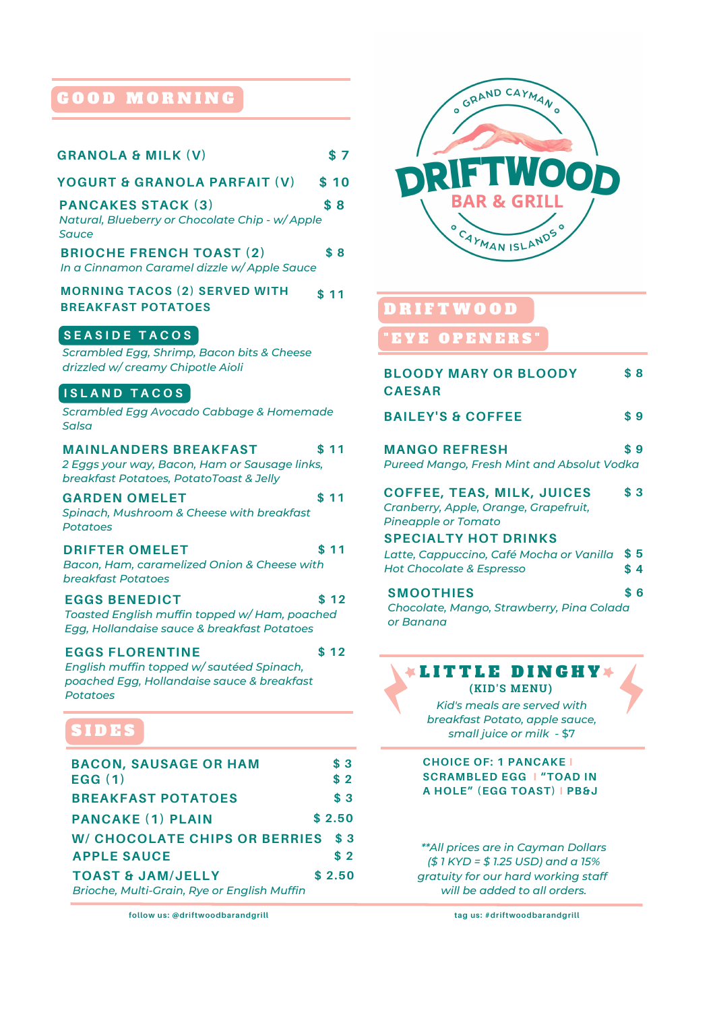# G O O D M O R N I N G

| <b>GRANOLA &amp; MILK (V)</b>                                                                                                | \$7               |
|------------------------------------------------------------------------------------------------------------------------------|-------------------|
| <b>YOGURT &amp; GRANOLA PARFAIT (V)</b>                                                                                      | \$10              |
| <b>PANCAKES STACK (3)</b><br>Natural, Blueberry or Chocolate Chip - w/ Apple<br>Sauce                                        | \$8               |
| <b>BRIOCHE FRENCH TOAST (2)</b><br>In a Cinnamon Caramel dizzle w/ Apple Sauce                                               | \$8               |
| <b>MORNING TACOS (2) SERVED WITH</b><br><b>BREAKFAST POTATOES</b>                                                            | \$11              |
| <b>SEASIDE TACOS</b><br>Scrambled Egg, Shrimp, Bacon bits & Cheese<br>drizzled w/ creamy Chipotle Aioli                      |                   |
| <b>ISLAND TACOS</b><br>Scrambled Egg Avocado Cabbage & Homemade<br><b>Salsa</b>                                              |                   |
| <b>MAINLANDERS BREAKFAST</b><br>2 Eggs your way, Bacon, Ham or Sausage links,<br>breakfast Potatoes, PotatoToast & Jelly     | \$11              |
| <b>GARDEN OMELET</b><br>Spinach, Mushroom & Cheese with breakfast<br><b>Potatoes</b>                                         | \$11              |
| <b>DRIFTER OMELET</b><br>Bacon, Ham, caramelized Onion & Cheese with<br>breakfast Potatoes                                   | \$ 11             |
| <b>EGGS BENEDICT</b><br>Toasted English muffin topped w/ Ham, poached<br>Egg, Hollandaise sauce & breakfast Potatoes         | \$12              |
| <b>EGGS FLORENTINE</b><br>English muffin topped w/sautéed Spinach,<br>poached Egg, Hollandaise sauce & breakfast<br>Potatoes | \$12              |
| SIDES                                                                                                                        |                   |
| <b>BACON, SAUSAGE OR HAM</b><br>EGG(1)                                                                                       | \$3<br>\$2        |
| <b>BREAKFAST POTATOES</b>                                                                                                    | \$3               |
| <b>PANCAKE (1) PLAIN</b>                                                                                                     | \$2.50            |
| <b>W/ CHOCOLATE CHIPS OR BERRIES</b><br><b>APPLE SAUCE</b>                                                                   | $\sqrt{3}$<br>\$2 |
| <b>TOAST &amp; JAM/JELLY</b>                                                                                                 | \$2.50            |
| Brioche, Multi-Grain, Rye or English Muffin                                                                                  |                   |
| follow us: @driftwoodbarandgrill                                                                                             |                   |

**follow us: @driftwoodbarandgrill**



# D R I F T W O O D

# " E Y E O P E N E R S "

| <b>BLOODY MARY OR BLOODY</b><br><b>CAESAR</b>                                                     |     | \$8 |
|---------------------------------------------------------------------------------------------------|-----|-----|
| <b>BAILEY'S &amp; COFFEE</b>                                                                      | \$9 |     |
| <b>MANGO REFRESH</b><br>Pureed Mango, Fresh Mint and Absolut Vodka                                | \$9 |     |
| <b>COFFEE, TEAS, MILK, JUICES</b><br>Cranberry, Apple, Orange, Grapefruit,<br>Pineapple or Tomato |     | \$3 |
| <b>SPECIALTY HOT DRINKS</b>                                                                       |     |     |
| Latte, Cappuccino, Café Mocha or Vanilla                                                          | \$5 |     |
| <b>Hot Chocolate &amp; Espresso</b>                                                               | \$4 |     |
| <b>SMOOTHIES</b><br>Chocolate, Mango, Strawberry, Pina Colada                                     |     | \$6 |

# *or Banana*

# **\*LITTLE DINGHY\***

**(KID'S MENU)** *Kid's meals are served with breakfast Potato, apple sauce,* small juice or milk - \$7

**CHOICE OF: 1 PANCAKE I SCRAMBLED EGG I "TOAD IN A HOLE" (EGG TOAST) I PB&J**

*\*\*All prices are in Cayman Dollars (\$ 1 KYD = \$ 1.25 USD) and a 15% gratuity for our hard working staff will be added to all orders.*

**tag us: #driftwoodbarandgrill**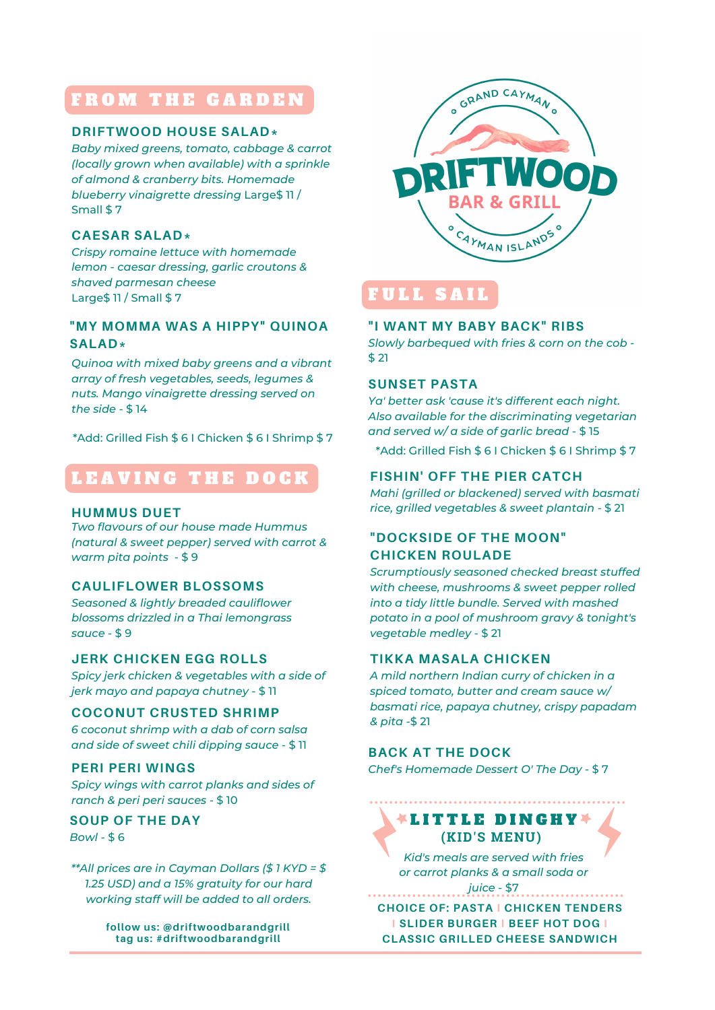# FROM THE GARDEN

#### **DRIFTWOOD HOUSE SALAD\***

*Baby mixed greens, tomato, cabbage & carrot (locally grown when available) with a sprinkle of almond & cranberry bits. Homemade blueberry vinaigrette dressing* Large\$ 11 / Small \$ 7

#### **CAESAR SALAD\***

*Crispy romaine lettuce with homemade lemon - caesar dressing, garlic croutons & shaved parmesan cheese* Large\$ 11 / Small \$ 7

# **"MY MOMMA WAS A HIPPY" QUINOA SALAD\***

*Quinoa with mixed baby greens and a vibrant array of fresh vegetables, seeds, legumes & nuts. Mango vinaigrette dressing served on the side* - \$ 14

\*Add: Grilled Fish \$ 6 I Chicken \$ 6 I Shrimp \$ 7

# LEAVING THE DOCK

#### **HUMMUS DUET**

*Two flavours of our house made Hummus (natural & sweet pepper) served with carrot & warm pita points* - \$ 9

## **CAULIFLOWER BLOSSOMS**

*Seasoned & lightly breaded cauliflower blossoms drizzled in a Thai lemongrass sauce* - \$ 9

## **JERK CHICKEN EGG ROLLS**

*Spicy jerk chicken & vegetables with a side of jerk mayo and papaya chutney* - \$ 11

#### **COCONUT CRUSTED SHRIMP**

*6 coconut shrimp with a dab of corn salsa and side of sweet chili dipping sauce* - \$ 11

## **PERI PERI WINGS**

*Spicy wings with carrot planks and sides of ranch & peri peri sauces -* \$ 10

#### **SOUP OF THE DAY** *Bowl -* \$ 6

*\*\*All prices are in Cayman Dollars (\$ 1 KYD = \$ 1.25 USD) and a 15% gratuity for our hard working staff will be added to all orders.*

> **follow us: @driftwoodbarandgrill tag us: #driftwoodbarandgrill**



# FULL SAI

## **"I WANT MY BABY BACK" RIBS**

*Slowly barbequed with fries & corn on the cob -* \$ 21

#### **SUNSET PASTA**

*Ya' better ask 'cause it's different each night. Also available for the discriminating vegetarian and served w/ a side of garlic bread* - \$ 15

\*Add: Grilled Fish \$ 6 I Chicken \$ 6 I Shrimp \$ 7

# **FISHIN' OFF THE PIER CATCH**

*Mahi (grilled or blackened) served with basmati rice, grilled vegetables & sweet plantain -* \$ 21

# **"DOCKSIDE OF THE MOON" CHICKEN ROULADE**

*Scrumptiously seasoned checked breast stuffed with cheese, mushrooms & sweet pepper rolled into a tidy little bundle. Served with mashed potato in a pool of mushroom gravy & tonight's vegetable medley -* \$ 21

#### **TIKKA MASALA CHICKEN**

*A mild northern Indian curry of chicken in a spiced tomato, butter and cream sauce w/ basmati rice, papaya chutney, crispy papadam & pita -*\$ 21

## **BACK AT THE DOCK**

*Chef's Homemade Dessert O' The Day -* \$ 7

# **(KID'S MENU) LITTLE DINGHY**

*Kid's meals are served with fries or carrot planks & a small soda or*

*juice* - \$7

**CHOICE OF: PASTA I CHICKEN TENDERS I SLIDER BURGER I BEEF HOT DOG I CLASSIC GRILLED CHEESE SANDWICH**